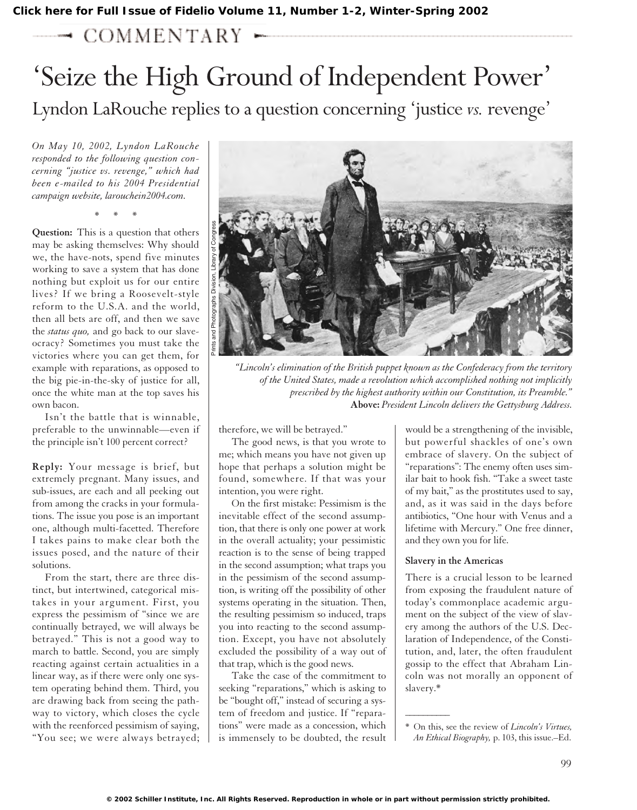## $\rightarrow$  COMMENTARY  $\sim$

## 'Seize the High Ground of Independent Power' Lyndon LaRouche replies to a question concerning 'justice *vs.* revenge'

*On May 10, 2002, Lyndon LaRouche responded to the following question concerning "justice vs. revenge," which had been e-mailed to his 2004 Presidential campaign website, larouchein2004.com.*

\*\*\*

**Question:** This is a question that others may be asking themselves: Why should we, the have-nots, spend five minutes working to save a system that has done nothing but exploit us for our entire lives? If we bring a Roosevelt-style reform to the U.S.A. and the world, then all bets are off, and then we save the *status quo,* and go back to our slaveocracy? Sometimes you must take the victories where you can get them, for example with reparations, as opposed to the big pie-in-the-sky of justice for all, once the white man at the top saves his own bacon.

Isn't the battle that is winnable, preferable to the unwinnable—even if the principle isn't 100 percent correct?

**Reply:** Your message is brief, but extremely pregnant. Many issues, and sub-issues, are each and all peeking out from among the cracks in your formulations. The issue you pose is an important one, although multi-facetted. Therefore I takes pains to make clear both the issues posed, and the nature of their solutions.

From the start, there are three distinct, but intertwined, categorical mistakes in your argument. First, you express the pessimism of "since we are continually betrayed, we will always be betrayed." This is not a good way to march to battle. Second, you are simply reacting against certain actualities in a linear way, as if there were only one system operating behind them. Third, you are drawing back from seeing the pathway to victory, which closes the cycle with the reenforced pessimism of saying, "You see; we were always betrayed;



*"Lincoln's elimination of the British puppet known as the Confederacy from the territory of the United States, made a revolution which accomplished nothing not implicitly prescribed by the highest authority within our Constitution, its Preamble."*  **Above:** *President Lincoln delivers the Gettysburg Address.* 

therefore, we will be betrayed."

The good news, is that you wrote to me; which means you have not given up hope that perhaps a solution might be found, somewhere. If that was your intention, you were right.

On the first mistake: Pessimism is the inevitable effect of the second assumption, that there is only one power at work in the overall actuality; your pessimistic reaction is to the sense of being trapped in the second assumption; what traps you in the pessimism of the second assumption, is writing off the possibility of other systems operating in the situation. Then, the resulting pessimism so induced, traps you into reacting to the second assumption. Except, you have not absolutely excluded the possibility of a way out of that trap, which is the good news.

Take the case of the commitment to seeking "reparations," which is asking to be "bought off," instead of securing a system of freedom and justice. If "reparations" were made as a concession, which is immensely to be doubted, the result would be a strengthening of the invisible, but powerful shackles of one's own embrace of slavery. On the subject of "reparations": The enemy often uses similar bait to hook fish. "Take a sweet taste of my bait," as the prostitutes used to say, and, as it was said in the days before antibiotics, "One hour with Venus and a lifetime with Mercury." One free dinner, and they own you for life.

## **Slavery in the Americas**

 $\overline{\phantom{a}}$ 

There is a crucial lesson to be learned from exposing the fraudulent nature of today's commonplace academic argument on the subject of the view of slavery among the authors of the U.S. Declaration of Independence, of the Constitution, and, later, the often fraudulent gossip to the effect that Abraham Lincoln was not morally an opponent of slavery.\*

<sup>\*</sup> On this, see the review of *Lincoln's Virtues, An Ethical Biography,* p. 103, this issue.–Ed.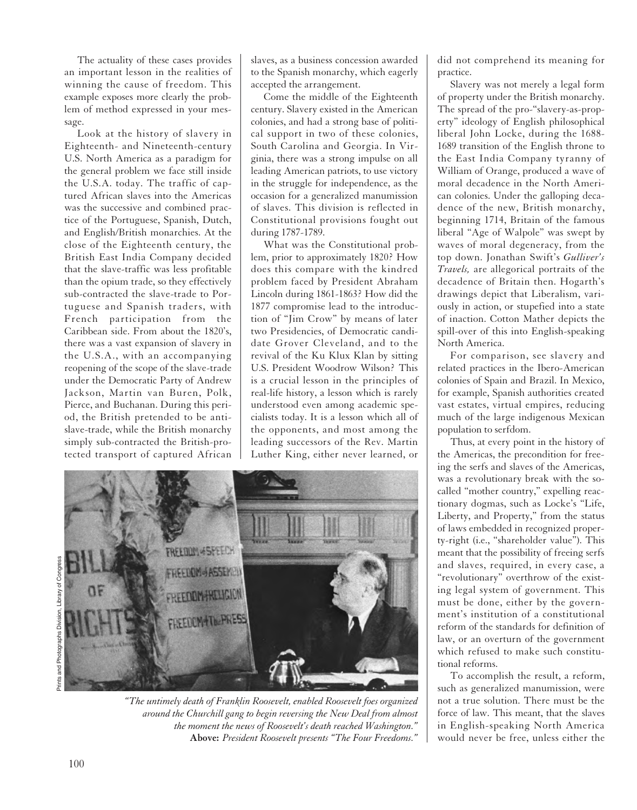The actuality of these cases provides an important lesson in the realities of winning the cause of freedom. This example exposes more clearly the problem of method expressed in your message.

Look at the history of slavery in Eighteenth- and Nineteenth-century U.S. North America as a paradigm for the general problem we face still inside the U.S.A. today. The traffic of captured African slaves into the Americas was the successive and combined practice of the Portuguese, Spanish, Dutch, and English/British monarchies. At the close of the Eighteenth century, the British East India Company decided that the slave-traffic was less profitable than the opium trade, so they effectively sub-contracted the slave-trade to Portuguese and Spanish traders, with French participation from the Caribbean side. From about the 1820's, there was a vast expansion of slavery in the U.S.A., with an accompanying reopening of the scope of the slave-trade under the Democratic Party of Andrew Jackson, Martin van Buren, Polk, Pierce, and Buchanan. During this period, the British pretended to be antislave-trade, while the British monarchy simply sub-contracted the British-protected transport of captured African

slaves, as a business concession awarded to the Spanish monarchy, which eagerly accepted the arrangement.

Come the middle of the Eighteenth century. Slavery existed in the American colonies, and had a strong base of political support in two of these colonies, South Carolina and Georgia. In Virginia, there was a strong impulse on all leading American patriots, to use victory in the struggle for independence, as the occasion for a generalized manumission of slaves. This division is reflected in Constitutional provisions fought out during 1787-1789.

What was the Constitutional problem, prior to approximately 1820? How does this compare with the kindred problem faced by President Abraham Lincoln during 1861-1863? How did the 1877 compromise lead to the introduction of "Jim Crow" by means of later two Presidencies, of Democratic candidate Grover Cleveland, and to the revival of the Ku Klux Klan by sitting U.S. President Woodrow Wilson? This is a crucial lesson in the principles of real-life history, a lesson which is rarely understood even among academic specialists today. It is a lesson which all of the opponents, and most among the leading successors of the Rev. Martin Luther King, either never learned, or



*"The untimely death of Franklin Roosevelt, enabled Roosevelt foes organized around the Churchill gang to begin reversing the New Deal from almost the moment the news of Roosevelt's death reached Washington."* **Above:** *President Roosevelt presents "The Four Freedoms."*

did not comprehend its meaning for practice.

Slavery was not merely a legal form of property under the British monarchy. The spread of the pro-"slavery-as-property" ideology of English philosophical liberal John Locke, during the 1688- 1689 transition of the English throne to the East India Company tyranny of William of Orange, produced a wave of moral decadence in the North American colonies. Under the galloping decadence of the new, British monarchy, beginning 1714, Britain of the famous liberal "Age of Walpole" was swept by waves of moral degeneracy, from the top down. Jonathan Swift's *Gulliver's Travels,* are allegorical portraits of the decadence of Britain then. Hogarth's drawings depict that Liberalism, variously in action, or stupefied into a state of inaction. Cotton Mather depicts the spill-over of this into English-speaking North America.

For comparison, see slavery and related practices in the Ibero-American colonies of Spain and Brazil. In Mexico, for example, Spanish authorities created vast estates, virtual empires, reducing much of the large indigenous Mexican population to serfdom.

Thus, at every point in the history of the Americas, the precondition for freeing the serfs and slaves of the Americas, was a revolutionary break with the socalled "mother country," expelling reactionary dogmas, such as Locke's "Life, Liberty, and Property," from the status of laws embedded in recognized property-right (i.e., "shareholder value"). This meant that the possibility of freeing serfs and slaves, required, in every case, a "revolutionary" overthrow of the existing legal system of government. This must be done, either by the government's institution of a constitutional reform of the standards for definition of law, or an overturn of the government which refused to make such constitutional reforms.

To accomplish the result, a reform, such as generalized manumission, were not a true solution. There must be the force of law. This meant, that the slaves in English-speaking North America would never be free, unless either the